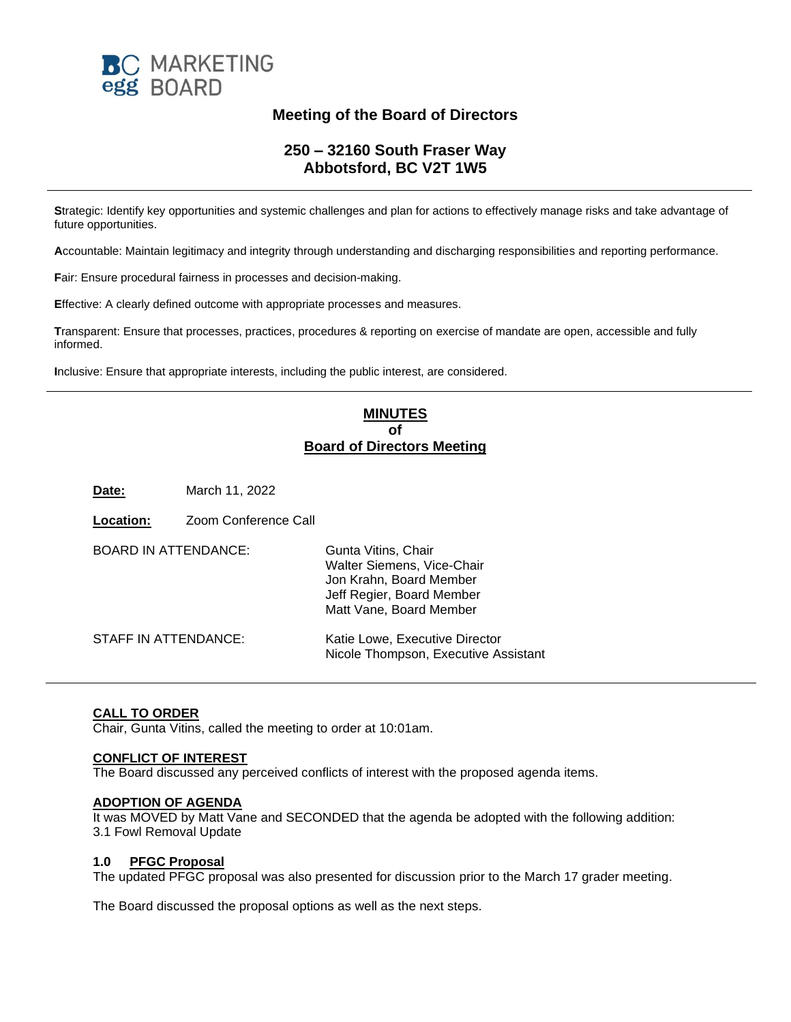

# **Meeting of the Board of Directors**

# **250 – 32160 South Fraser Way Abbotsford, BC V2T 1W5**

**S**trategic: Identify key opportunities and systemic challenges and plan for actions to effectively manage risks and take advantage of future opportunities.

**A**ccountable: Maintain legitimacy and integrity through understanding and discharging responsibilities and reporting performance.

**F**air: Ensure procedural fairness in processes and decision-making.

**E**ffective: A clearly defined outcome with appropriate processes and measures.

**T**ransparent: Ensure that processes, practices, procedures & reporting on exercise of mandate are open, accessible and fully informed.

**I**nclusive: Ensure that appropriate interests, including the public interest, are considered.

## **MINUTES of Board of Directors Meeting**

**Date:** March 11, 2022

**Location:** Zoom Conference Call

| <b>BOARD IN ATTENDANCE:</b> | Gunta Vitins, Chair<br>Walter Siemens, Vice-Chair<br>Jon Krahn, Board Member<br>Jeff Regier, Board Member<br>Matt Vane, Board Member |
|-----------------------------|--------------------------------------------------------------------------------------------------------------------------------------|
| STAFF IN ATTENDANCE:        | Katie Lowe, Executive Director<br>Nicole Thompson, Executive Assistant                                                               |

### **CALL TO ORDER**

Chair, Gunta Vitins, called the meeting to order at 10:01am.

#### **CONFLICT OF INTEREST**

The Board discussed any perceived conflicts of interest with the proposed agenda items.

#### **ADOPTION OF AGENDA**

It was MOVED by Matt Vane and SECONDED that the agenda be adopted with the following addition: 3.1 Fowl Removal Update

#### **1.0 PFGC Proposal**

The updated PFGC proposal was also presented for discussion prior to the March 17 grader meeting.

The Board discussed the proposal options as well as the next steps.